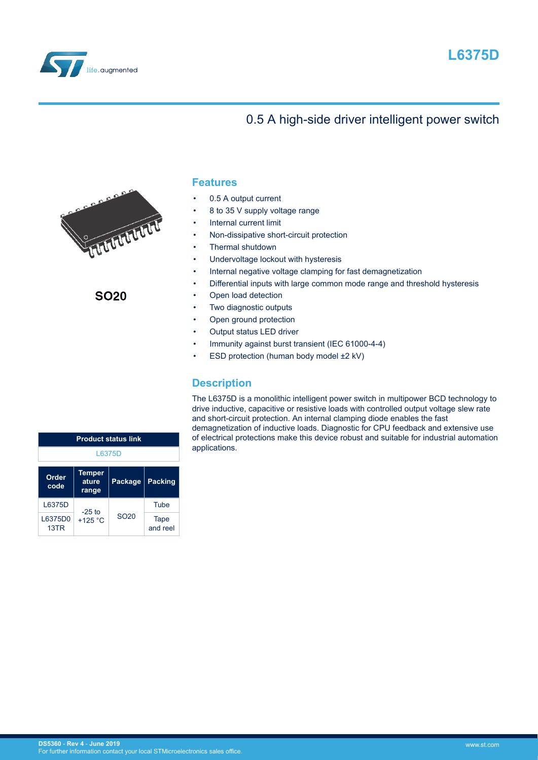



# 0.5 A high-side driver intelligent power switch



**SO20** 

## **Features**

- 0.5 A output current
- 8 to 35 V supply voltage range
- Internal current limit
- Non-dissipative short-circuit protection
- Thermal shutdown
- Undervoltage lockout with hysteresis
- Internal negative voltage clamping for fast demagnetization
- Differential inputs with large common mode range and threshold hysteresis
- Open load detection
- Two diagnostic outputs
- Open ground protection
- Output status LED driver
- Immunity against burst transient (IEC 61000-4-4)
- ESD protection (human body model ±2 kV)

## **Description**

The L6375D is a monolithic intelligent power switch in multipower BCD technology to drive inductive, capacitive or resistive loads with controlled output voltage slew rate and short-circuit protection. An internal clamping diode enables the fast demagnetization of inductive loads. Diagnostic for CPU feedback and extensive use of electrical protections make this device robust and suitable for industrial automation applications.

| <b>Product status link</b> |                                 |                  |                  |  |  |
|----------------------------|---------------------------------|------------------|------------------|--|--|
| L6375D                     |                                 |                  |                  |  |  |
| Order<br>code              | <b>Temper</b><br>ature<br>range | <b>Package</b>   | <b>Packing</b>   |  |  |
| L6375D                     |                                 |                  | Tube             |  |  |
| L6375D0<br>13TR            | $-25$ to<br>$+125$ °C           | SO <sub>20</sub> | Tape<br>and reel |  |  |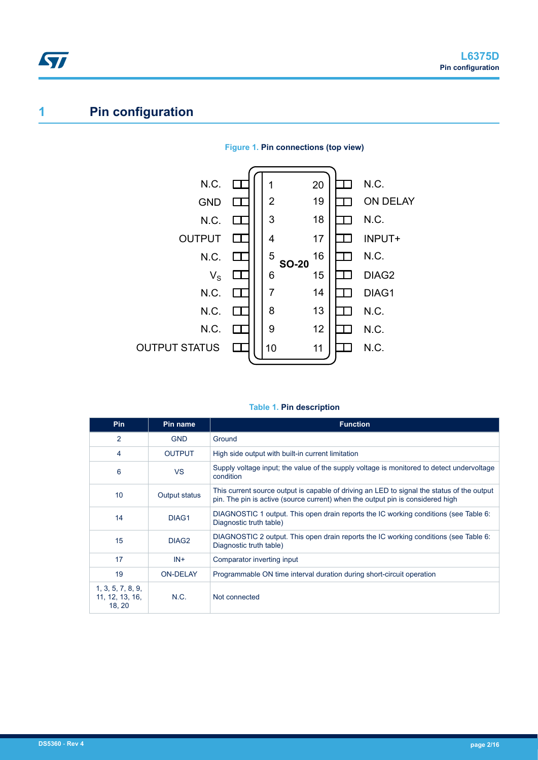# **1 Pin configuration**

ST



## **Figure 1. Pin connections (top view)**

#### **Table 1. Pin description**

| <b>Pin</b>                                     | Pin name          | <b>Function</b>                                                                                                                                                              |
|------------------------------------------------|-------------------|------------------------------------------------------------------------------------------------------------------------------------------------------------------------------|
| $\overline{2}$                                 | <b>GND</b>        | Ground                                                                                                                                                                       |
| 4                                              | <b>OUTPUT</b>     | High side output with built-in current limitation                                                                                                                            |
| 6                                              | <b>VS</b>         | Supply voltage input; the value of the supply voltage is monitored to detect undervoltage<br>condition                                                                       |
| 10                                             | Output status     | This current source output is capable of driving an LED to signal the status of the output<br>pin. The pin is active (source current) when the output pin is considered high |
| 14                                             | DIAG1             | DIAGNOSTIC 1 output. This open drain reports the IC working conditions (see Table 6:<br>Diagnostic truth table)                                                              |
| 15                                             | DIAG <sub>2</sub> | DIAGNOSTIC 2 output. This open drain reports the IC working conditions (see Table 6:<br>Diagnostic truth table)                                                              |
| 17                                             | $IN +$            | Comparator inverting input                                                                                                                                                   |
| 19                                             | <b>ON-DELAY</b>   | Programmable ON time interval duration during short-circuit operation                                                                                                        |
| 1, 3, 5, 7, 8, 9,<br>11, 12, 13, 16,<br>18, 20 | N.C.              | Not connected                                                                                                                                                                |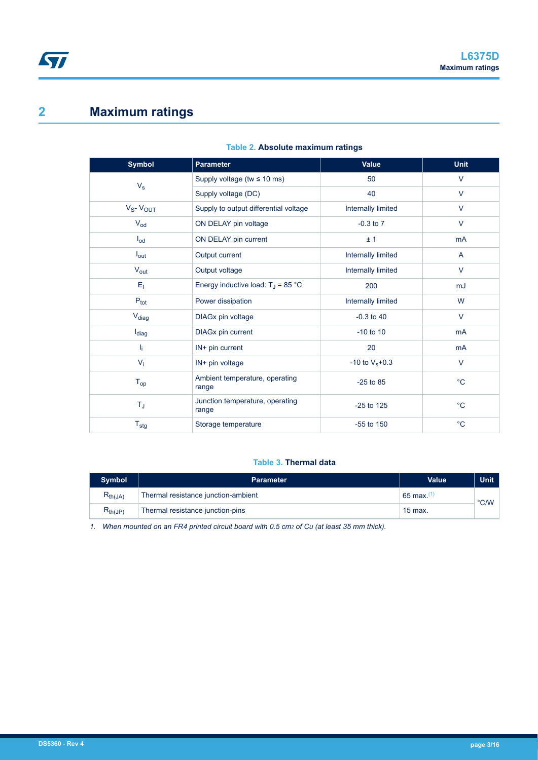# **2 Maximum ratings**

ST

| <b>Symbol</b>     | <b>Parameter</b>                         | Value              | <b>Unit</b>    |
|-------------------|------------------------------------------|--------------------|----------------|
| $V_{\rm s}$       | Supply voltage (tw $\leq 10$ ms)         | 50                 | $\vee$         |
|                   | Supply voltage (DC)                      | 40                 | $\vee$         |
| $V_S - V_{OUT}$   | Supply to output differential voltage    | Internally limited | $\vee$         |
| $V_{od}$          | ON DELAY pin voltage                     | $-0.3$ to $7$      | $\vee$         |
| $I_{od}$          | ON DELAY pin current                     | ±1                 | mA             |
| $I_{\text{out}}$  | Output current                           | Internally limited | $\mathsf{A}$   |
| $V_{\text{out}}$  | Output voltage                           | Internally limited | $\vee$         |
| $E_1$             | Energy inductive load: $T_J$ = 85 °C     | 200                | mJ             |
| $P_{\text{tot}}$  | Power dissipation                        | Internally limited | W              |
| V <sub>diag</sub> | DIAGx pin voltage                        | $-0.3$ to 40       | $\vee$         |
| l <sub>diag</sub> | DIAGx pin current                        | $-10$ to $10$      | m <sub>A</sub> |
| I <sub>i</sub>    | IN+ pin current                          | 20                 | m <sub>A</sub> |
| $V_i$             | IN+ pin voltage                          | -10 to $V_s + 0.3$ | V              |
| $T_{op}$          | Ambient temperature, operating<br>range  | $-25$ to 85        | $^{\circ}C$    |
| $T_{\text{J}}$    | Junction temperature, operating<br>range | $-25$ to 125       | $^{\circ}C$    |
| $T_{\text{stg}}$  | Storage temperature                      | $-55$ to 150       | $^{\circ}C$    |

### **Table 2. Absolute maximum ratings**

## **Table 3. Thermal data**

| <b>Symbol</b>                           | <b>Parameter</b>                    | Value                   | <b>Unit</b>   |
|-----------------------------------------|-------------------------------------|-------------------------|---------------|
| $R_{th(JA)}$                            | Thermal resistance junction-ambient | $65$ max. <sup>(1</sup> | $\degree$ C/W |
| $\mathsf{R}_{\mathsf{th}(\mathsf{JP})}$ | Thermal resistance junction-pins    | $15$ max.               |               |

*1. When mounted on an FR4 printed circuit board with 0.5 cm2 of Cu (at least 35 mm thick).*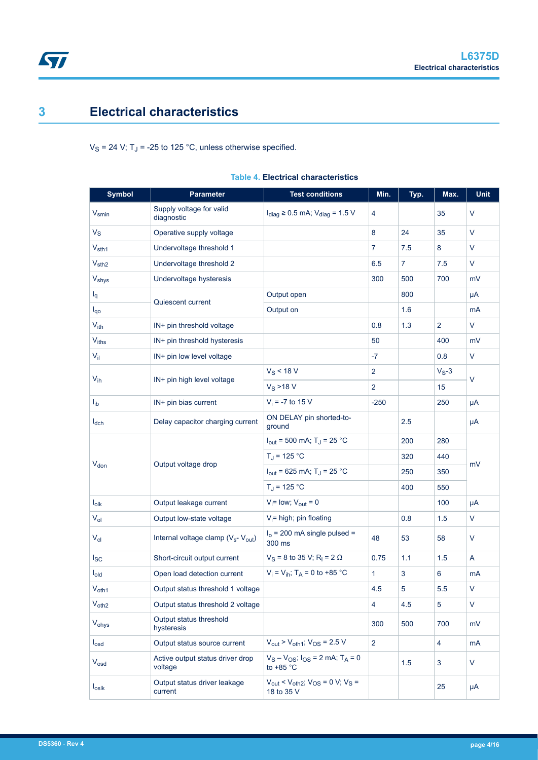# <span id="page-3-0"></span>**3 Electrical characteristics**

 $V_S$  = 24 V; T<sub>J</sub> = -25 to 125 °C, unless otherwise specified.

| <b>Symbol</b>     | <b>Parameter</b>                                            | <b>Test conditions</b>                                                                       | Min.           | Typ.           | Max.           | Unit   |  |
|-------------------|-------------------------------------------------------------|----------------------------------------------------------------------------------------------|----------------|----------------|----------------|--------|--|
| $V_{\text{smin}}$ | Supply voltage for valid<br>diagnostic                      | $I_{\text{diag}} \geq 0.5$ mA; $V_{\text{diag}} = 1.5$ V                                     | 4              |                | 35             | $\vee$ |  |
| $V_S$             | Operative supply voltage                                    |                                                                                              | 8              | 24             | 35             | V      |  |
| $V_{\text{sth1}}$ | Undervoltage threshold 1                                    |                                                                                              | $\overline{7}$ | 7.5            | 8              | $\vee$ |  |
| $V_{\text{sth2}}$ | Undervoltage threshold 2                                    |                                                                                              | 6.5            | $\overline{7}$ | 7.5            | $\vee$ |  |
| V <sub>shys</sub> | Undervoltage hysteresis                                     |                                                                                              | 300            | 500            | 700            | mV     |  |
| $I_q$             | Quiescent current                                           | Output open                                                                                  |                | 800            |                | μA     |  |
| $I_{q0}$          |                                                             | Output on                                                                                    |                | 1.6            |                | mA     |  |
| $V_{ith}$         | IN+ pin threshold voltage                                   |                                                                                              | 0.8            | 1.3            | $\overline{2}$ | V      |  |
| Viths             | IN+ pin threshold hysteresis                                |                                                                                              | 50             |                | 400            | mV     |  |
| $V_{\rm il}$      | IN+ pin low level voltage                                   |                                                                                              | $-7$           |                | 0.8            | $\vee$ |  |
|                   |                                                             | $V_S < 18 V$                                                                                 | $\overline{2}$ |                | $V_S-3$        | V      |  |
| $V_{ih}$          | IN+ pin high level voltage                                  | $V_S > 18 V$                                                                                 | $\overline{2}$ |                | 15             |        |  |
| $I_{ib}$          | IN+ pin bias current                                        | $V_i = -7$ to 15 V                                                                           | $-250$         |                | 250            | μA     |  |
| $I_{dch}$         | Delay capacitor charging current                            | ON DELAY pin shorted-to-<br>ground                                                           |                | 2.5            |                | μA     |  |
|                   |                                                             | $I_{\text{out}}$ = 500 mA; T <sub>J</sub> = 25 °C                                            |                | 200            | 280            | mV     |  |
| $V_{don}$         | Output voltage drop                                         | $T_J = 125 °C$                                                                               |                | 320            | 440            |        |  |
|                   |                                                             | $I_{\text{out}}$ = 625 mA; T <sub>J</sub> = 25 °C                                            |                | 250            | 350            |        |  |
|                   |                                                             | $T_J = 125 °C$                                                                               |                | 400            | 550            |        |  |
| $I_{\text{olk}}$  | Output leakage current                                      | $V_i$ = low; $V_{out}$ = 0                                                                   |                |                | 100            | μA     |  |
| $V_{ol}$          | Output low-state voltage                                    | $V_i$ = high; pin floating                                                                   |                | 0.8            | 1.5            | $\vee$ |  |
| $V_{\text{cl}}$   | Internal voltage clamp (V <sub>s</sub> - V <sub>out</sub> ) | $Io$ = 200 mA single pulsed =<br>300 ms                                                      | 48             | 53             | 58             | $\vee$ |  |
| $I_{SC}$          | Short-circuit output current                                | $V_S$ = 8 to 35 V; R <sub>I</sub> = 2 Ω                                                      | 0.75           | 1.1            | 1.5            | A      |  |
| $I_{old}$         | Open load detection current                                 | $V_i = V_{ih}$ ; T <sub>A</sub> = 0 to +85 °C                                                | $\mathbf{1}$   | 3              | 6              | mA     |  |
| $V_{\text{oth1}}$ | Output status threshold 1 voltage                           |                                                                                              | 4.5            | 5              | 5.5            | $\vee$ |  |
| $V_{\text{oth2}}$ | Output status threshold 2 voltage                           |                                                                                              | $\overline{4}$ | 4.5            | 5              | V      |  |
| Vohys             | Output status threshold<br>hysteresis                       |                                                                                              | 300            | 500            | 700            | mV     |  |
| $I_{\text{osd}}$  | Output status source current                                | $V_{\text{out}}$ > $V_{\text{oth1}}$ ; $V_{\text{OS}}$ = 2.5 V                               | $\overline{2}$ |                | $\overline{4}$ | mA     |  |
| $V_{osd}$         | Active output status driver drop<br>voltage                 | $V_S - V_{OS}$ ; $I_{OS} = 2$ mA; $T_A = 0$<br>to +85 $^{\circ}$ C                           |                | 1.5            | 3              | $\vee$ |  |
| $I_{\text{OS}$    | Output status driver leakage<br>current                     | $V_{\text{out}}$ < $V_{\text{oth2}}$ ; $V_{\text{OS}}$ = 0 V; $V_{\text{S}}$ =<br>18 to 35 V |                |                | 25             | μA     |  |

### **Table 4. Electrical characteristics**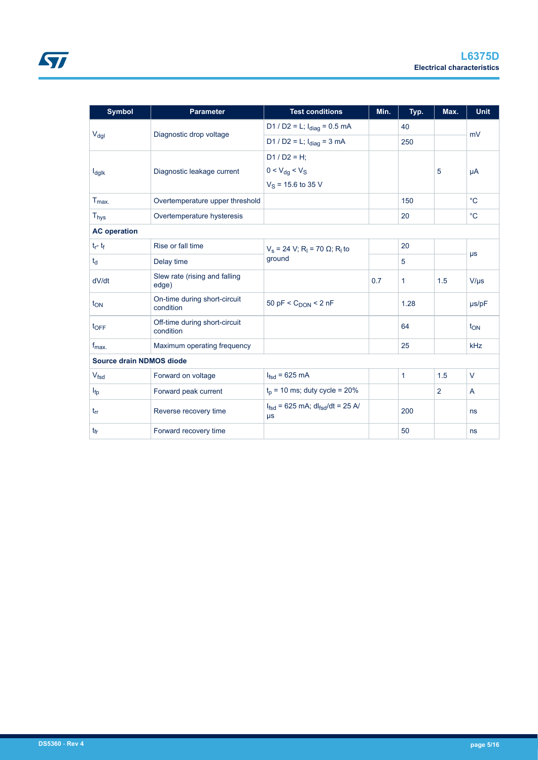| <b>Symbol</b>            | <b>Parameter</b>                           | <b>Test conditions</b>                                       | Min. | Typ.         | Max.           | <b>Unit</b> |  |
|--------------------------|--------------------------------------------|--------------------------------------------------------------|------|--------------|----------------|-------------|--|
|                          |                                            | D1 / D2 = L; $I_{diag}$ = 0.5 mA                             |      | 40           |                | mV          |  |
| $V_{\text{dgl}}$         | Diagnostic drop voltage                    | D1 / D2 = L; $I_{\text{diag}}$ = 3 mA                        |      | 250          |                |             |  |
|                          |                                            | $D1 / D2 = H$ ;                                              |      |              |                |             |  |
| $I_{\text{dglk}}$        | Diagnostic leakage current                 | $0 < V_{dg} < V_{S}$                                         |      |              | 5              | μA          |  |
|                          |                                            | $V_S$ = 15.6 to 35 V                                         |      |              |                |             |  |
| $T_{\text{max}}$         | Overtemperature upper threshold            |                                                              |      | 150          |                | $^{\circ}C$ |  |
| <b>Thys</b>              | Overtemperature hysteresis                 |                                                              |      | 20           |                | $^{\circ}C$ |  |
| <b>AC operation</b>      |                                            |                                                              |      |              |                |             |  |
| $t_f - t_f$              | Rise or fall time                          | $V_s$ = 24 V; R <sub>I</sub> = 70 Ω; R <sub>I</sub> to       |      | 20           |                |             |  |
| $t_{d}$                  | Delay time                                 | ground                                                       |      | 5            |                | $\mu s$     |  |
| dV/dt                    | Slew rate (rising and falling<br>edge)     |                                                              | 0.7  | 1            | 1.5            | $V/\mu s$   |  |
| $t_{ON}$                 | On-time during short-circuit<br>condition  | 50 pF < $C_{\text{DON}}$ < 2 nF                              |      | 1.28         |                | $\mu$ s/pF  |  |
| $t_{\text{OFF}}$         | Off-time during short-circuit<br>condition |                                                              |      | 64           |                | $t_{ON}$    |  |
| $f_{\text{max}}$         | Maximum operating frequency                |                                                              |      | 25           |                | kHz         |  |
| Source drain NDMOS diode |                                            |                                                              |      |              |                |             |  |
| V <sub>fsd</sub>         | Forward on voltage                         | $I_{\text{fsd}}$ = 625 mA                                    |      | $\mathbf{1}$ | 1.5            | V           |  |
| $I_{fp}$                 | Forward peak current                       | $tp$ = 10 ms; duty cycle = 20%                               |      |              | $\overline{2}$ | A           |  |
| $t_{rr}$                 | Reverse recovery time                      | $I_{fsd}$ = 625 mA; dl <sub>fsd</sub> /dt = 25 A/<br>$\mu s$ |      | 200          |                | ns          |  |
| $t_{fr}$                 | Forward recovery time                      |                                                              |      | 50           |                | ns          |  |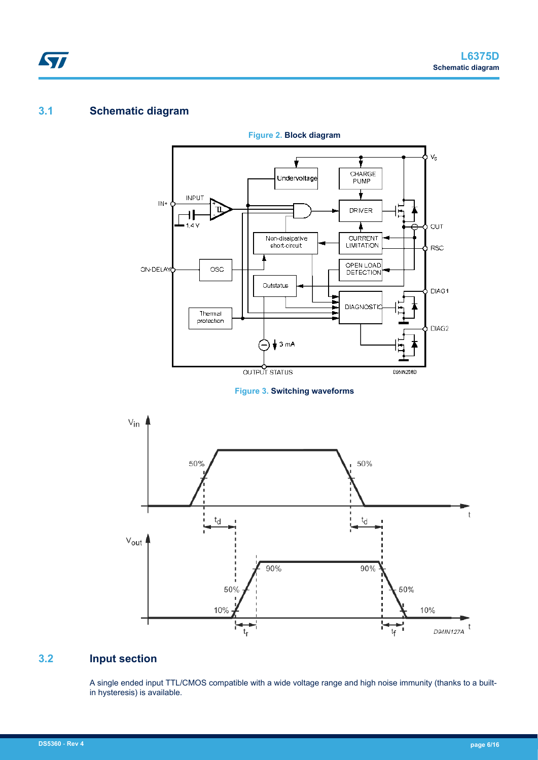# **3.1 Schematic diagram**

ST



**Figure 2. Block diagram**





# **3.2 Input section**

A single ended input TTL/CMOS compatible with a wide voltage range and high noise immunity (thanks to a builtin hysteresis) is available.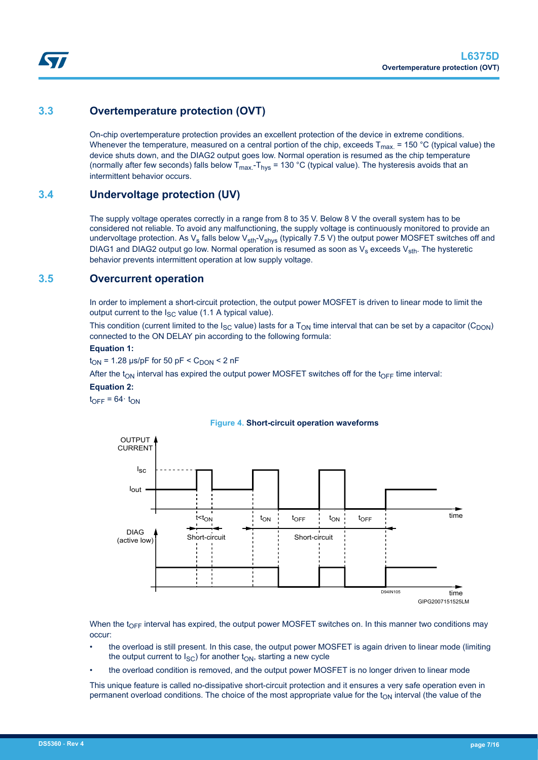# **3.3 Overtemperature protection (OVT)**

On-chip overtemperature protection provides an excellent protection of the device in extreme conditions. Whenever the temperature, measured on a central portion of the chip, exceeds  $T_{max}$  = 150 °C (typical value) the device shuts down, and the DIAG2 output goes low. Normal operation is resumed as the chip temperature (normally after few seconds) falls below  $T_{max} - T_{hvs} = 130 \degree C$  (typical value). The hysteresis avoids that an intermittent behavior occurs.

## **3.4 Undervoltage protection (UV)**

The supply voltage operates correctly in a range from 8 to 35 V. Below 8 V the overall system has to be considered not reliable. To avoid any malfunctioning, the supply voltage is continuously monitored to provide an undervoltage protection. As  $V_s$  falls below  $V_{sth}$ - $V_{shys}$  (typically 7.5 V) the output power MOSFET switches off and DIAG1 and DIAG2 output go low. Normal operation is resumed as soon as  $V_s$  exceeds  $V_{\text{sth}}$ . The hysteretic behavior prevents intermittent operation at low supply voltage.

## **3.5 Overcurrent operation**

In order to implement a short-circuit protection, the output power MOSFET is driven to linear mode to limit the output current to the  $I_{SC}$  value (1.1 A typical value).

This condition (current limited to the  $I_{SC}$  value) lasts for a  $T_{ON}$  time interval that can be set by a capacitor (C<sub>DON</sub>) connected to the ON DELAY pin according to the following formula:

#### **Equation 1:**

 $t_{ON}$  = 1.28 µs/pF for 50 pF <  $C_{DOM}$  < 2 nF

After the t<sub>ON</sub> interval has expired the output power MOSFET switches off for the t<sub>OFF</sub> time interval:

#### **Equation 2:**

 $t_{OFF} = 64 \cdot t_{ON}$ 



#### **Figure 4. Short-circuit operation waveforms**

When the t<sub>OFF</sub> interval has expired, the output power MOSFET switches on. In this manner two conditions may occur:

- the overload is still present. In this case, the output power MOSFET is again driven to linear mode (limiting the output current to  $I_{SC}$ ) for another  $t_{ON}$ , starting a new cycle
- the overload condition is removed, and the output power MOSFET is no longer driven to linear mode

This unique feature is called no-dissipative short-circuit protection and it ensures a very safe operation even in permanent overload conditions. The choice of the most appropriate value for the  $t_{ON}$  interval (the value of the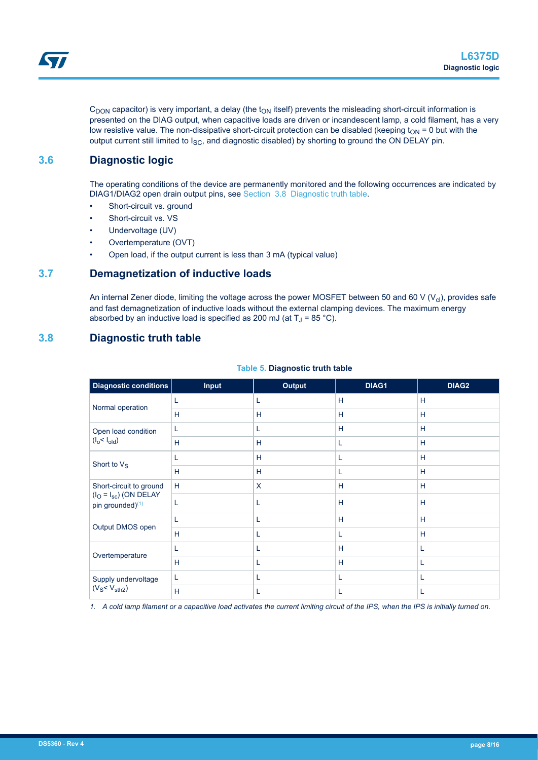$C_{DOM}$  capacitor) is very important, a delay (the  $t_{ON}$  itself) prevents the misleading short-circuit information is presented on the DIAG output, when capacitive loads are driven or incandescent lamp, a cold filament, has a very low resistive value. The non-dissipative short-circuit protection can be disabled (keeping  $t_{ON}$  = 0 but with the output current still limited to  $I_{SC}$ , and diagnostic disabled) by shorting to ground the ON DELAY pin.

## **3.6 Diagnostic logic**

The operating conditions of the device are permanently monitored and the following occurrences are indicated by DIAG1/DIAG2 open drain output pins, see Section 3.8 Diagnostic truth table.

- Short-circuit vs. ground
- Short-circuit vs. VS
- Undervoltage (UV)
- Overtemperature (OVT)
- Open load, if the output current is less than 3 mA (typical value)

### **3.7 Demagnetization of inductive loads**

An internal Zener diode, limiting the voltage across the power MOSFET between 50 and 60 V ( $V_{\text{cl}}$ ), provides safe and fast demagnetization of inductive loads without the external clamping devices. The maximum energy absorbed by an inductive load is specified as 200 mJ (at  $T_J$  = 85 °C).

## **3.8 Diagnostic truth table**

| Diagnostic conditions                                       | <b>Input</b> | <b>Output</b> | DIAG1 | DIAG2 |
|-------------------------------------------------------------|--------------|---------------|-------|-------|
|                                                             |              | L             | H     | H     |
| Normal operation                                            | H            | H             | H     | H     |
| Open load condition<br>(I <sub>o</sub> < I <sub>old</sub> ) | L            | L             | H     | H     |
|                                                             | H            | H             | L     | H     |
| Short to $V_S$                                              |              | H             | L     | H     |
|                                                             | H            | H             | L     | H     |
| Short-circuit to ground                                     | H            | X             | H     | H     |
| $(IO = Isc)$ (ON DELAY<br>pin grounded) <sup>(1)</sup>      |              |               | H     | H     |
| Output DMOS open                                            |              | L             | H     | H     |
|                                                             | H            | L             | L     | H     |
|                                                             |              | L             | H     | L     |
| Overtemperature                                             | H            | L             | H     | L     |
| Supply undervoltage                                         | L            | L             | L     | L     |
| $(V_S < V_{\text{sth2}})$                                   | H            | L             | L     | L     |

#### **Table 5. Diagnostic truth table**

*1. A cold lamp filament or a capacitive load activates the current limiting circuit of the IPS, when the IPS is initially turned on.*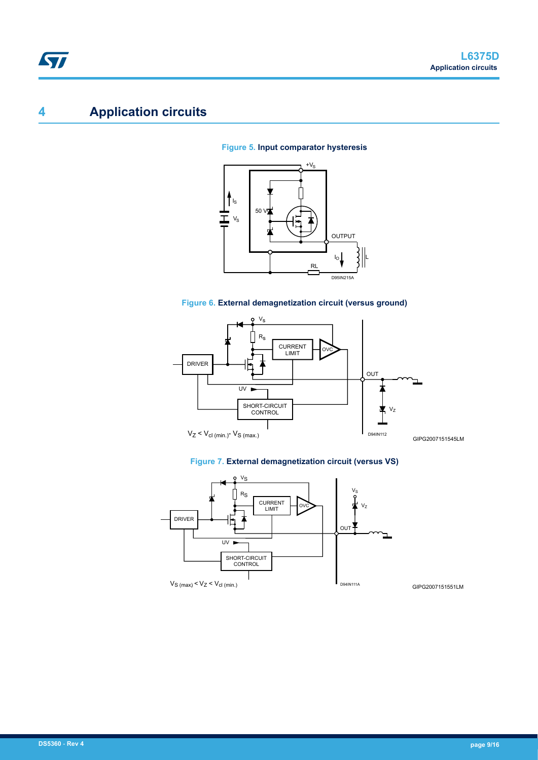# **4 Application circuits**

### **Figure 5. Input comparator hysteresis**









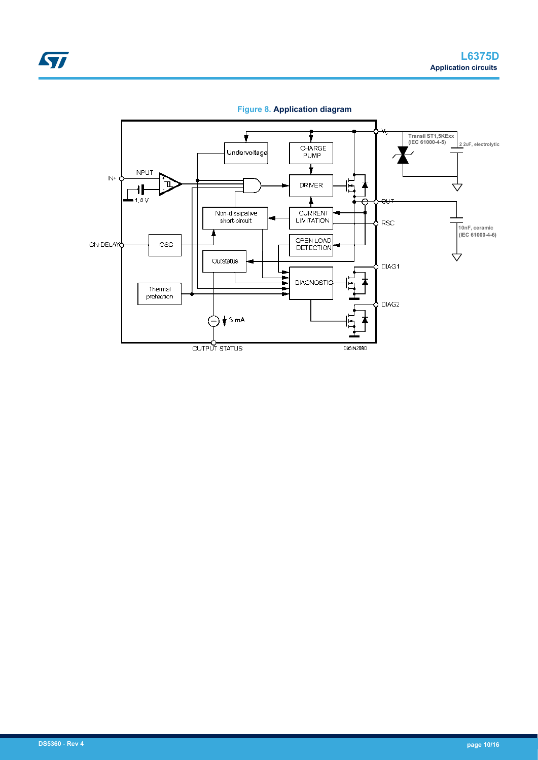

**Figure 8. Application diagram**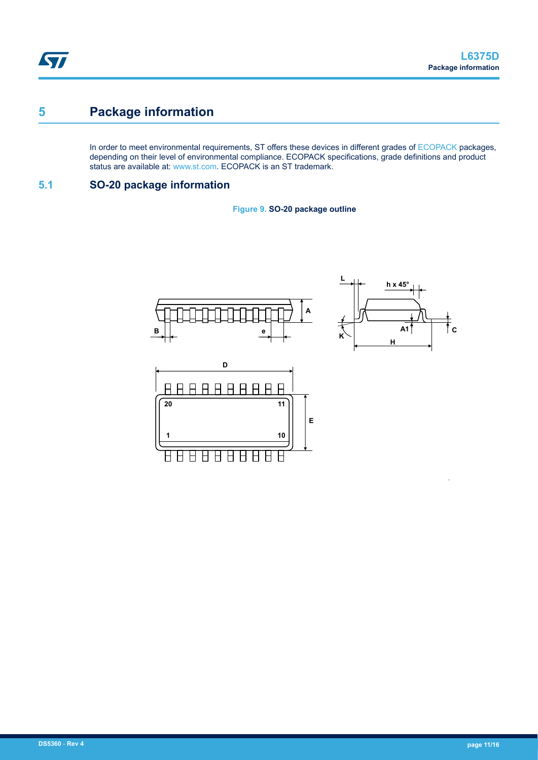# **5 Package information**

In order to meet environmental requirements, ST offers these devices in different grades of [ECOPACK](https://www.st.com/ecopack) packages, depending on their level of environmental compliance. ECOPACK specifications, grade definitions and product status are available at: [www.st.com.](http://www.st.com) ECOPACK is an ST trademark.

## **5.1 SO-20 package information**

**Figure 9. SO-20 package outline**





•

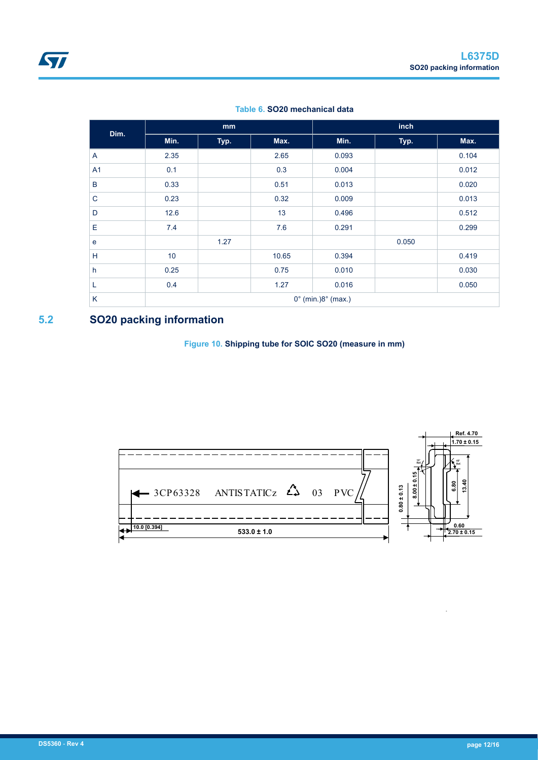| Dim.           |                                       | mm   |       |       | inch  |       |  |
|----------------|---------------------------------------|------|-------|-------|-------|-------|--|
|                | Min.                                  | Typ. | Max.  | Min.  | Typ.  | Max.  |  |
| A              | 2.35                                  |      | 2.65  | 0.093 |       | 0.104 |  |
| A <sub>1</sub> | 0.1                                   |      | 0.3   | 0.004 |       | 0.012 |  |
| B              | 0.33                                  |      | 0.51  | 0.013 |       | 0.020 |  |
| $\mathsf{C}$   | 0.23                                  |      | 0.32  | 0.009 |       | 0.013 |  |
| D              | 12.6                                  |      | 13    | 0.496 |       | 0.512 |  |
| Ε              | 7.4                                   |      | 7.6   | 0.291 |       | 0.299 |  |
| e              |                                       | 1.27 |       |       | 0.050 |       |  |
| H              | 10                                    |      | 10.65 | 0.394 |       | 0.419 |  |
| h              | 0.25                                  |      | 0.75  | 0.010 |       | 0.030 |  |
| L              | 0.4                                   |      | 1.27  | 0.016 |       | 0.050 |  |
| K              | $0^{\circ}$ (min.) $8^{\circ}$ (max.) |      |       |       |       |       |  |

#### **Table 6. SO20 mechanical data**

# **5.2 SO20 packing information**

### **Figure 10. Shipping tube for SOIC SO20 (measure in mm)**



•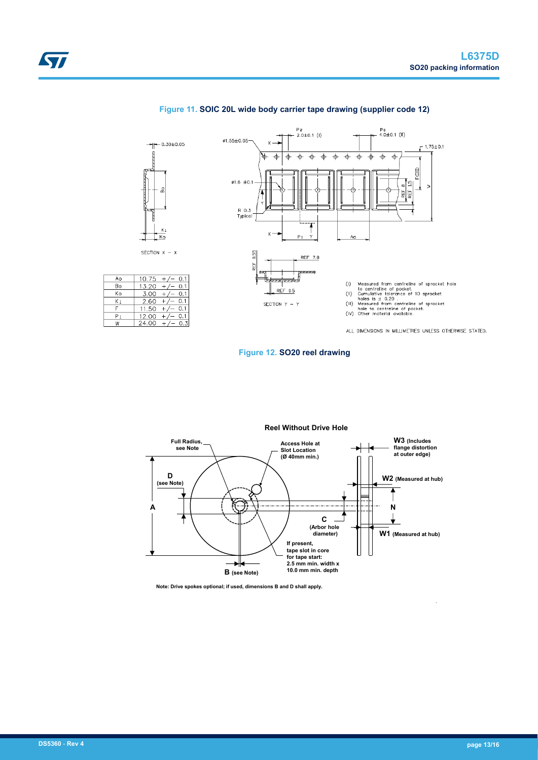

#### **Figure 11. SOIC 20L wide body carrier tape drawing (supplier code 12)**

**Figure 12. SO20 reel drawing**



**Note: Drive spokes optional; if used, dimensions B and D shall apply.**

•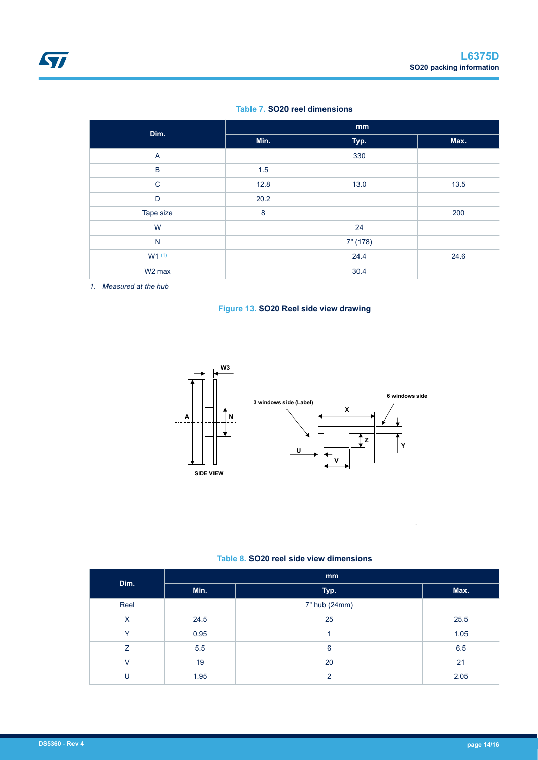#### **Table 7. SO20 reel dimensions**

| Dim.               | mm   |          |      |  |  |  |
|--------------------|------|----------|------|--|--|--|
|                    | Min. | Typ.     | Max. |  |  |  |
| $\overline{A}$     |      | 330      |      |  |  |  |
| $\mathsf B$        | 1.5  |          |      |  |  |  |
| $\mathsf{C}$       | 12.8 | 13.0     | 13.5 |  |  |  |
| D                  | 20.2 |          |      |  |  |  |
| Tape size          | 8    |          | 200  |  |  |  |
| W                  |      | 24       |      |  |  |  |
| $\mathsf{N}$       |      | 7" (178) |      |  |  |  |
| $W1^{(1)}$         |      | 24.4     | 24.6 |  |  |  |
| W <sub>2</sub> max |      | 30.4     |      |  |  |  |

*1. Measured at the hub*





### **Table 8. SO20 reel side view dimensions**

| Dim.         | mm   |               |      |  |  |  |
|--------------|------|---------------|------|--|--|--|
|              | Min. | Typ.          | Max. |  |  |  |
| Reel         |      | 7" hub (24mm) |      |  |  |  |
| $\times$     | 24.5 | 25            | 25.5 |  |  |  |
| $\checkmark$ | 0.95 |               | 1.05 |  |  |  |
| Z            | 5.5  | 6             | 6.5  |  |  |  |
| v            | 19   | 20            | 21   |  |  |  |
| U            | 1.95 | $\mathcal{P}$ | 2.05 |  |  |  |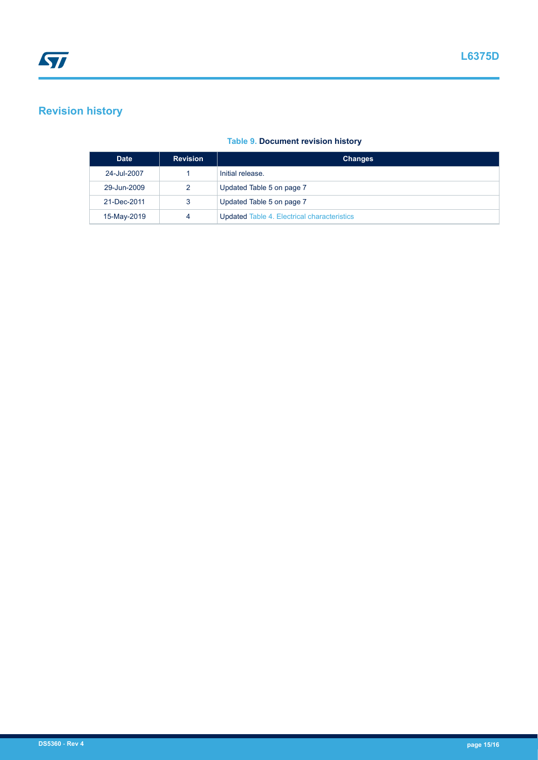# **Revision history**

|  | <b>Table 9. Document revision history</b> |  |  |
|--|-------------------------------------------|--|--|
|  |                                           |  |  |

| <b>Date</b> | <b>Revision</b> | <b>Changes</b>                                     |
|-------------|-----------------|----------------------------------------------------|
| 24-Jul-2007 |                 | Initial release.                                   |
| 29-Jun-2009 | 2               | Updated Table 5 on page 7                          |
| 21-Dec-2011 | 3               | Updated Table 5 on page 7                          |
| 15-May-2019 |                 | <b>Updated Table 4. Electrical characteristics</b> |